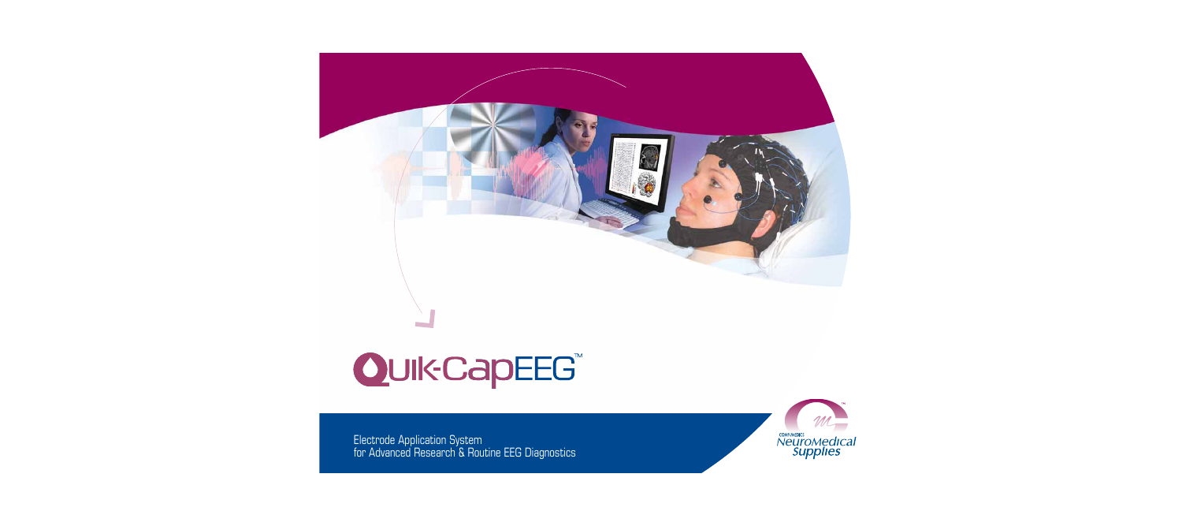# QuikCapEEG

Electrode Application System for Advanced Research & Routine EEG Diagnostics

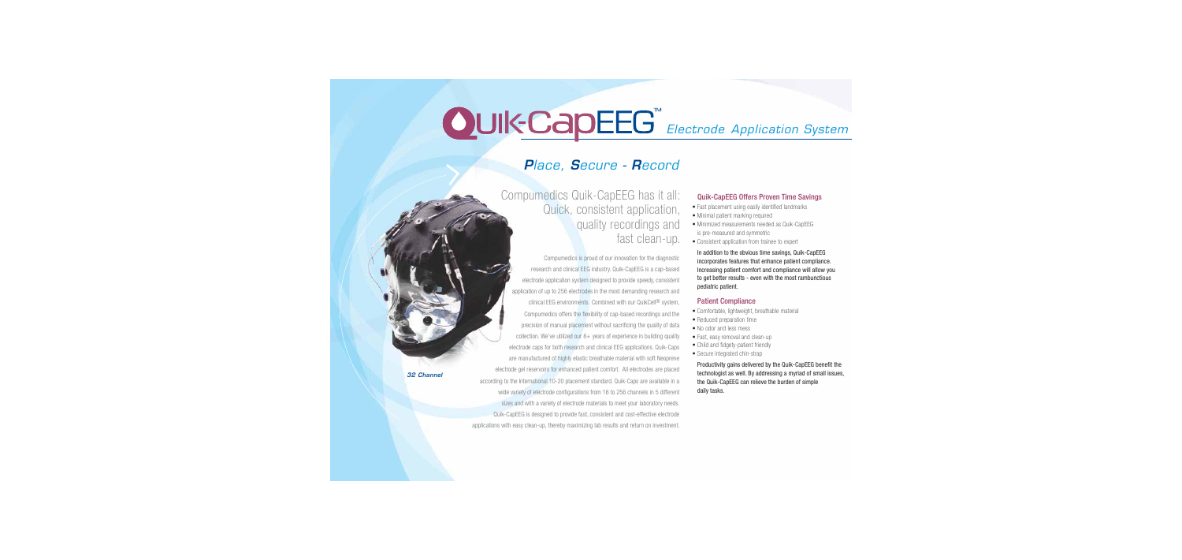# **OUIK CADEEG**<sup>®</sup> Electrode Application System

## *P*lace, *S*ecure - *R*ecord

Compumedics Quik-CapEEG has it all: Quick, consistent application, quality recordings and fast clean-up.

Compumedics is proud of our innovation for the diagnostic research and clinical EEG industry. Quik-CapEEG is a cap-based electrode application system designed to provide speedy, consistent application of up to 256 electrodes in the most demanding research and clinical EEG environments. Combined with our QuikCell® system, Compumedics offers the flexibility of cap-based recordings and the precision of manual placement without sacrificing the quality of data collection. We've utilized our  $8+$  years of experience in building quality electrode caps for both research and clinical EEG applications. Quik-Caps are manufactured of highly elastic breathable material with soft Neoprene electrode gel reservoirs for enhanced patient comfort. All electrodes are placed according to the International 10-20 placement standard. Quik-Caps are available in a wide variety of electrode configurations from 16 to 256 channels in 5 different sizes and with a variety of electrode materials to meet your laboratory needs. Quik-CapEEG is designed to provide fast, consistent and cost-effective electrode applications with easy clean-up, thereby maximizing lab results and return on investment.

#### Quik-CapEEG Offers Proven Time Savings

- Fast placement using easily identified landmarks
- Minimal patient marking required
- Minimized measurements needed as Quik-CapEEG is pre-measured and symmetric
- Consistent application from trainee to expert

 In addition to the obvious time savings, Quik-CapEEG incorporates features that enhance patient compliance. Increasing patient comfort and compliance will allow you to get better results - even with the most rambunctious pediatric patient.

#### Patient Compliance

- Comfortable, lightweight, breathable material
- Reduced preparation time
- No odor and less mess
- Fast, easy removal and clean-up
- Child and fidgety-patient friendly
- Secure integrated chin-strap

 Productivity gains delivered by the Quik-CapEEG benefit the technologist as well. By addressing a myriad of small issues, the Quik-CapEEG can relieve the burden of simple daily tasks.

*32 Channel*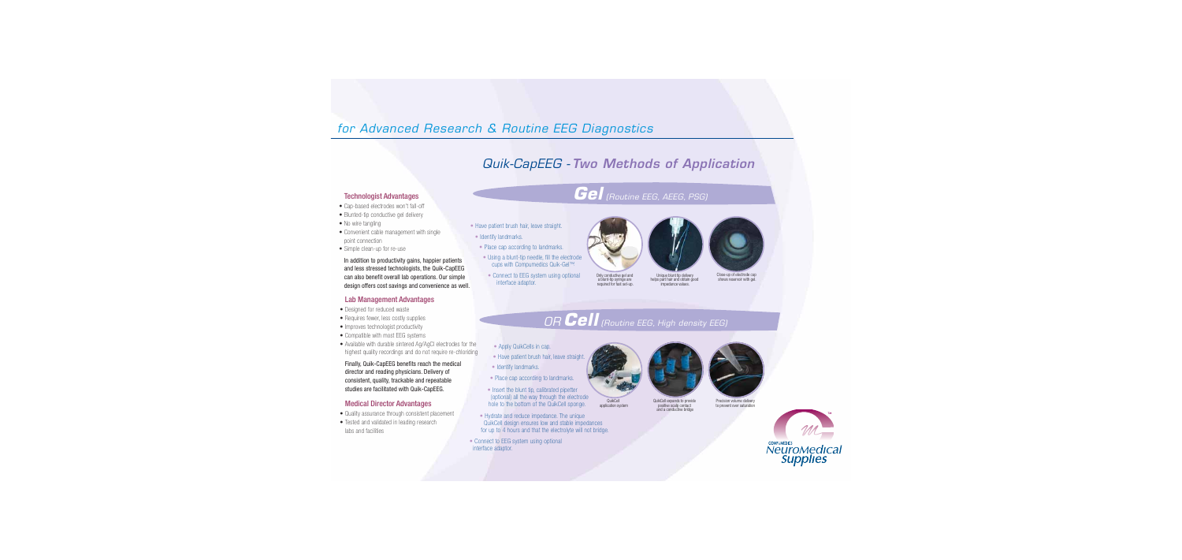# for Advanced Research & Routine EEG Diagnostics

# Quik-CapEEG - *Two Methods of Application*

# Technologist Advantages *Gel* (Routine EEG, AEEG, PSG)

- Cap-based electrodes won't fall-off
- Blunted-tip conductive gel delivery
- No wire tangling
- Convenient cable management with single point connection
- Simple clean-up for re-use

 In addition to productivity gains, happier patients and less stressed technologists, the Quik-CapEEG can also benefit overall lab operations. Our simple design offers cost savings and convenience as well.

### Lab Management Advantages

- Designed for reduced waste
- Requires fewer, less costly supplies
- Improves technologist productivity
- Compatible with most EEG systems
- Available with durable sintered Ag/AgCl electrodes for the highest quality recordings and do not require re-chloriding

 Finally, Quik-CapEEG benefits reach the medical director and reading physicians. Delivery of consistent, quality, trackable and repeatable studies are facilitated with Quik-CapEEG.

### Medical Director Advantages

- Quality assurance through consistent placement
- Tested and validated in leading research labs and facilities
- **•** Have patient brush hair, leave straight.
- **•** Identify landmarks.
- **•** Place cap according to landmarks.
- **•** Using a blunt-tip needle, fill the electrode cups with Compumedics Quik-Gel™.
- **•** Connect to EEG system using optional interface adaptor.



Only conductive gel and a blunt-tip syringe are required for fast set-up. Unique blunt tip delivery helps part hair and obtain good impedance values.



Close-up of electrode cup shows reservoir with gel.

# OR *Cell* (Routine EEG, High density EEG)

application system

- Apply QuikCells in cap.
- **•** Have patient brush hair, leave straight.
- **•** Identify landmarks.
- **•** Place cap according to landmarks.
- Insert the blunt tip, calibrated pipetter (optional) all the way through the electrode hole to the bottom of the QuikCell sponge.
- Hydrate and reduce impedance. The unique QuikCell design ensures low and stable impedances for up to 4 hours and that the electrolyte will not bridge.
- **•** Connect to EEG system using optional interface adaptor.



QuikCell expands to provide positive scalp contact and a conductive bridge



Precision volume delivery to prevent over saturation